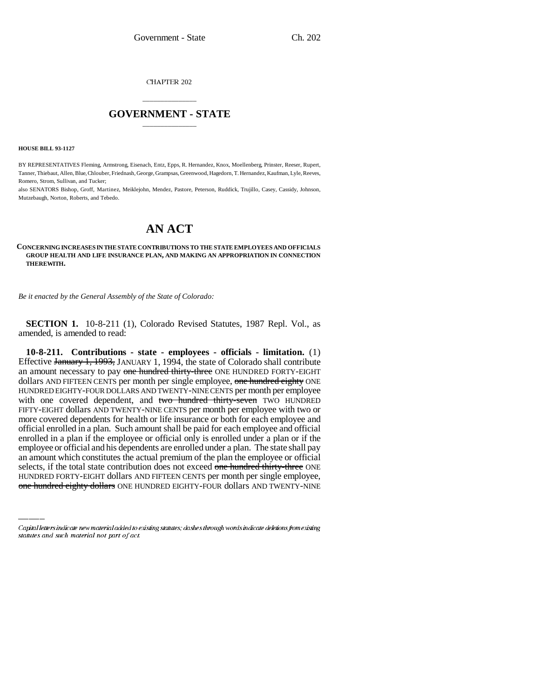**CHAPTER 202** 

## \_\_\_\_\_\_\_\_\_\_\_\_\_\_\_ **GOVERNMENT - STATE** \_\_\_\_\_\_\_\_\_\_\_\_\_\_\_

**HOUSE BILL 93-1127**

BY REPRESENTATIVES Fleming, Armstrong, Eisenach, Entz, Epps, R. Hernandez, Knox, Moellenberg, Prinster, Reeser, Rupert, Tanner, Thiebaut, Allen, Blue, Chlouber, Friednash, George, Grampsas, Greenwood, Hagedorn, T. Hernandez, Kaufman, Lyle, Reeves, Romero, Strom, Sullivan, and Tucker;

also SENATORS Bishop, Groff, Martinez, Meiklejohn, Mendez, Pastore, Peterson, Ruddick, Trujillo, Casey, Cassidy, Johnson, Mutzebaugh, Norton, Roberts, and Tebedo.

## **AN ACT**

## **CONCERNING INCREASES IN THE STATE CONTRIBUTIONS TO THE STATE EMPLOYEES AND OFFICIALS GROUP HEALTH AND LIFE INSURANCE PLAN, AND MAKING AN APPROPRIATION IN CONNECTION THEREWITH.**

*Be it enacted by the General Assembly of the State of Colorado:*

**SECTION 1.** 10-8-211 (1), Colorado Revised Statutes, 1987 Repl. Vol., as amended, is amended to read:

employee of official and his dependents are emotied under a plan. The state shall pay<br>an amount which constitutes the actual premium of the plan the employee or official **10-8-211. Contributions - state - employees - officials - limitation.** (1) Effective January 1, 1993, JANUARY 1, 1994, the state of Colorado shall contribute an amount necessary to pay one hundred thirty-three ONE HUNDRED FORTY-EIGHT dollars AND FIFTEEN CENTS per month per single employee, one hundred eighty ONE HUNDRED EIGHTY-FOUR DOLLARS AND TWENTY-NINE CENTS per month per employee with one covered dependent, and two hundred thirty-seven TWO HUNDRED FIFTY-EIGHT dollars AND TWENTY-NINE CENTS per month per employee with two or more covered dependents for health or life insurance or both for each employee and official enrolled in a plan. Such amount shall be paid for each employee and official enrolled in a plan if the employee or official only is enrolled under a plan or if the employee or official and his dependents are enrolled under a plan. The state shall pay selects, if the total state contribution does not exceed one hundred thirty-three ONE HUNDRED FORTY-EIGHT dollars AND FIFTEEN CENTS per month per single employee, one hundred eighty dollars ONE HUNDRED EIGHTY-FOUR dollars AND TWENTY-NINE

Capital letters indicate new material added to existing statutes; dashes through words indicate deletions from existing statutes and such material not part of act.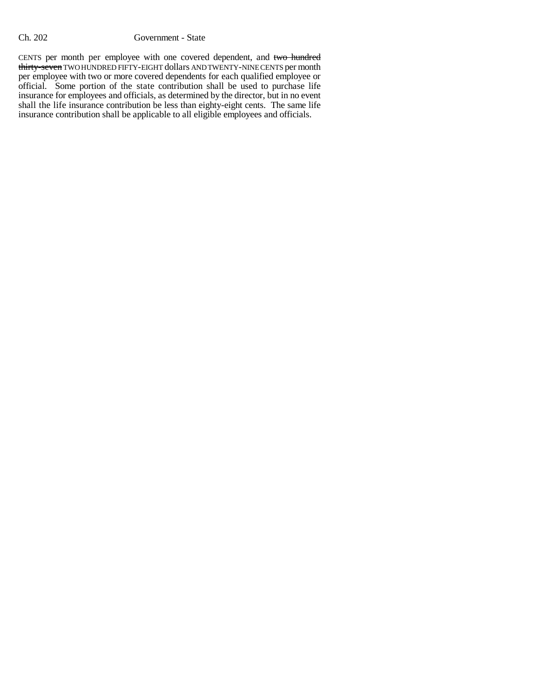## Ch. 202 Government - State

CENTS per month per employee with one covered dependent, and two hundred thirty-seven TWO HUNDRED FIFTY-EIGHT dollars AND TWENTY-NINE CENTS per month per employee with two or more covered dependents for each qualified employee or official. Some portion of the state contribution shall be used to purchase life insurance for employees and officials, as determined by the director, but in no event shall the life insurance contribution be less than eighty-eight cents. The same life insurance contribution shall be applicable to all eligible employees and officials.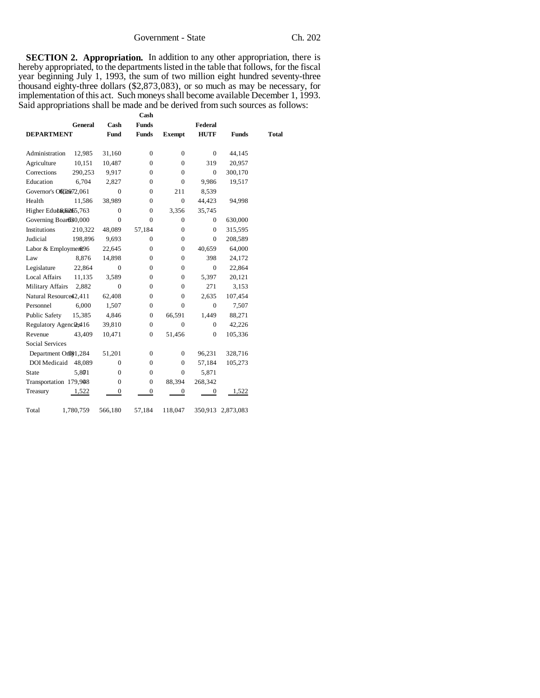**SECTION 2. Appropriation.** In addition to any other appropriation, there is hereby appropriated, to the departments listed in the table that follows, for the fiscal year beginning July 1, 1993, the sum of two million eight hundred seventy-three thousand eighty-three dollars (\$2,873,083), or so much as may be necessary, for implementation of this act. Such moneys shall become available December 1, 1993. Said appropriations shall be made and be derived from such sources as follows:

|                          | General   | Cash           | <b>Funds</b>     |                  | Federal        |                   |       |
|--------------------------|-----------|----------------|------------------|------------------|----------------|-------------------|-------|
| <b>DEPARTMENT</b>        |           | Fund           | <b>Funds</b>     | <b>Exempt</b>    | <b>HUTF</b>    | <b>Funds</b>      | Total |
|                          |           |                |                  |                  |                |                   |       |
| Administration           | 12,985    | 31,160         | $\overline{0}$   | $\mathbf{0}$     | $\mathbf{0}$   | 44,145            |       |
| Agriculture              | 10,151    | 10,487         | $\overline{0}$   | $\mathbf{0}$     | 319            | 20,957            |       |
| Corrections              | 290,253   | 9,917          | $\mathbf{0}$     | $\mathbf{0}$     | $\mathbf{0}$   | 300,170           |       |
| Education                | 6.704     | 2,827          | $\mathbf{0}$     | $\mathbf{0}$     | 9,986          | 19,517            |       |
| Governor's OffR@72,061   |           | $\overline{0}$ | $\overline{0}$   | 211              | 8,539          |                   |       |
| Health                   | 11,586    | 38,989         | $\overline{0}$   | $\mathbf{0}$     | 44,423         | 94,998            |       |
| Higher Education 5,763   |           | $\Omega$       | $\overline{0}$   | 3,356            | 35,745         |                   |       |
| Governing Board30,000    |           | $\Omega$       | $\theta$         | $\mathbf{0}$     | $\mathbf{0}$   | 630,000           |       |
| Institutions             | 210,322   | 48,089         | 57,184           | $\boldsymbol{0}$ | $\Omega$       | 315,595           |       |
| Judicial                 | 198,896   | 9,693          | $\overline{0}$   | $\mathbf{0}$     | $\overline{0}$ | 208,589           |       |
| Labor & Employment96     |           | 22,645         | $\overline{0}$   | $\mathbf{0}$     | 40,659         | 64,000            |       |
| Law                      | 8.876     | 14,898         | $\mathbf{0}$     | $\mathbf{0}$     | 398            | 24,172            |       |
| Legislature              | 22,864    | $\mathbf{0}$   | $\overline{0}$   | $\mathbf{0}$     | $\overline{0}$ | 22,864            |       |
| <b>Local Affairs</b>     | 11,135    | 3,589          | $\overline{0}$   | $\mathbf{0}$     | 5,397          | 20,121            |       |
| <b>Military Affairs</b>  | 2,882     | $\overline{0}$ | $\overline{0}$   | $\mathbf{0}$     | 271            | 3,153             |       |
| Natural Resource \$2,411 |           | 62,408         | $\overline{0}$   | $\mathbf{0}$     | 2,635          | 107,454           |       |
| Personnel                | 6,000     | 1,507          | $\overline{0}$   | $\Omega$         | $\Omega$       | 7,507             |       |
| Public Safety            | 15,385    | 4,846          | $\mathbf{0}$     | 66,591           | 1,449          | 88,271            |       |
| Regulatory Agencies 416  |           | 39,810         | $\overline{0}$   | $\theta$         | $\Omega$       | 42,226            |       |
| Revenue                  | 43.409    | 10,471         | $\overline{0}$   | 51,456           | $\overline{0}$ | 105,336           |       |
| Social Services          |           |                |                  |                  |                |                   |       |
| Department Orll&1,284    |           | 51,201         | $\mathbf{0}$     | $\mathbf{0}$     | 96,231         | 328,716           |       |
| DOI Medicaid             | 48,089    | $\mathbf{0}$   | $\overline{0}$   | $\mathbf{0}$     | 57,184         | 105,273           |       |
| <b>State</b>             | 5,801     | $\mathbf{0}$   | $\mathbf{0}$     | $\mathbf{0}$     | 5,871          |                   |       |
| Transportation 179,948   |           | $\Omega$       | $\overline{0}$   | 88,394           | 268,342        |                   |       |
| Treasury                 | 1,522     | 0              | $\boldsymbol{0}$ | $\boldsymbol{0}$ | $\mathbf{0}$   | 1,522             |       |
| Total                    | 1,780,759 | 566,180        | 57,184           | 118,047          |                | 350,913 2,873,083 |       |

**Cash**